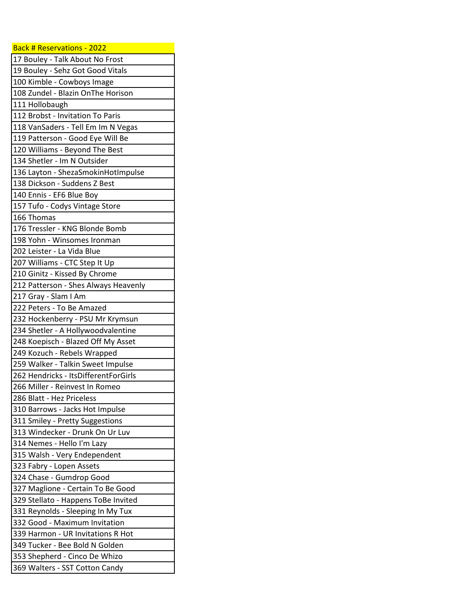| Back # Reservations - 2022           |
|--------------------------------------|
| 17 Bouley - Talk About No Frost      |
| 19 Bouley - Sehz Got Good Vitals     |
| 100 Kimble - Cowboys Image           |
| 108 Zundel - Blazin OnThe Horison    |
| 111 Hollobaugh                       |
| 112 Brobst - Invitation To Paris     |
| 118 VanSaders - Tell Em Im N Vegas   |
| 119 Patterson - Good Eye Will Be     |
| 120 Williams - Beyond The Best       |
| 134 Shetler - Im N Outsider          |
| 136 Layton - ShezaSmokinHotImpulse   |
| 138 Dickson - Suddens Z Best         |
| 140 Ennis - EF6 Blue Boy             |
| 157 Tufo - Codys Vintage Store       |
| 166 Thomas                           |
| 176 Tressler - KNG Blonde Bomb       |
| 198 Yohn - Winsomes Ironman          |
| 202 Leister - La Vida Blue           |
| 207 Williams - CTC Step It Up        |
| 210 Ginitz - Kissed By Chrome        |
| 212 Patterson - Shes Always Heavenly |
| 217 Gray - Slam I Am                 |
| 222 Peters - To Be Amazed            |
| 232 Hockenberry - PSU Mr Krymsun     |
| 234 Shetler - A Hollywoodvalentine   |
| 248 Koepisch - Blazed Off My Asset   |
| 249 Kozuch - Rebels Wrapped          |
| 259 Walker - Talkin Sweet Impulse    |
| 262 Hendricks - ItsDifferentForGirls |
| 266 Miller - Reinvest In Romeo       |
| 286 Blatt - Hez Priceless            |
| 310 Barrows - Jacks Hot Impulse      |
| 311 Smiley - Pretty Suggestions      |
| 313 Windecker - Drunk On Ur Luv      |
| 314 Nemes - Hello I'm Lazy           |
| 315 Walsh - Very Endependent         |
| 323 Fabry - Lopen Assets             |
| 324 Chase - Gumdrop Good             |
| 327 Maglione - Certain To Be Good    |
| 329 Stellato - Happens ToBe Invited  |
| 331 Reynolds - Sleeping In My Tux    |
| 332 Good - Maximum Invitation        |
| 339 Harmon - UR Invitations R Hot    |
| 349 Tucker - Bee Bold N Golden       |
| 353 Shepherd - Cinco De Whizo        |
| 369 Walters - SST Cotton Candy       |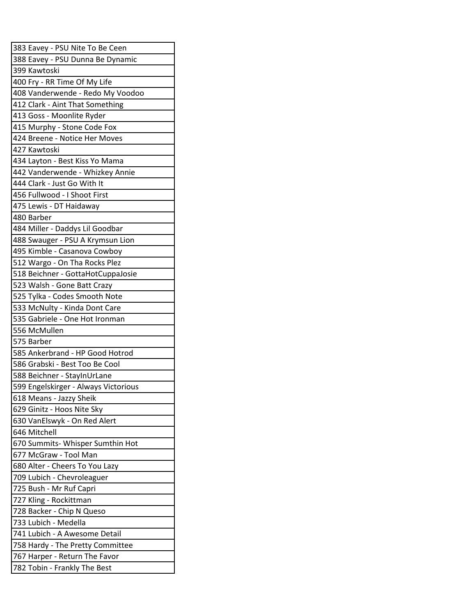| 383 Eavey - PSU Nite To Be Ceen      |
|--------------------------------------|
| 388 Eavey - PSU Dunna Be Dynamic     |
| 399 Kawtoski                         |
| 400 Fry - RR Time Of My Life         |
| 408 Vanderwende - Redo My Voodoo     |
| 412 Clark - Aint That Something      |
| 413 Goss - Moonlite Ryder            |
| 415 Murphy - Stone Code Fox          |
| 424 Breene - Notice Her Moves        |
| 427 Kawtoski                         |
| 434 Layton - Best Kiss Yo Mama       |
| 442 Vanderwende - Whizkey Annie      |
| 444 Clark - Just Go With It          |
| 456 Fullwood - I Shoot First         |
| 475 Lewis - DT Haidaway              |
| 480 Barber                           |
| 484 Miller - Daddys Lil Goodbar      |
| 488 Swauger - PSU A Krymsun Lion     |
| 495 Kimble - Casanova Cowboy         |
| 512 Wargo - On Tha Rocks Plez        |
| 518 Beichner - GottaHotCuppaJosie    |
| 523 Walsh - Gone Batt Crazy          |
| 525 Tylka - Codes Smooth Note        |
| 533 McNulty - Kinda Dont Care        |
| 535 Gabriele - One Hot Ironman       |
| 556 McMullen                         |
| 575 Barber                           |
| 585 Ankerbrand - HP Good Hotrod      |
| 586 Grabski - Best Too Be Cool       |
| 588 Beichner - StayInUrLane          |
| 599 Engelskirger - Always Victorious |
| 618 Means - Jazzy Sheik              |
| 629 Ginitz - Hoos Nite Sky           |
| 630 VanElswyk - On Red Alert         |
| 646 Mitchell                         |
| 670 Summits- Whisper Sumthin Hot     |
| 677 McGraw - Tool Man                |
| 680 Alter - Cheers To You Lazy       |
| 709 Lubich - Chevroleaguer           |
| 725 Bush - Mr Ruf Capri              |
| 727 Kling - Rockittman               |
| 728 Backer - Chip N Queso            |
| 733 Lubich - Medella                 |
| 741 Lubich - A Awesome Detail        |
| 758 Hardy - The Pretty Committee     |
| 767 Harper - Return The Favor        |
| 782 Tobin - Frankly The Best         |
|                                      |